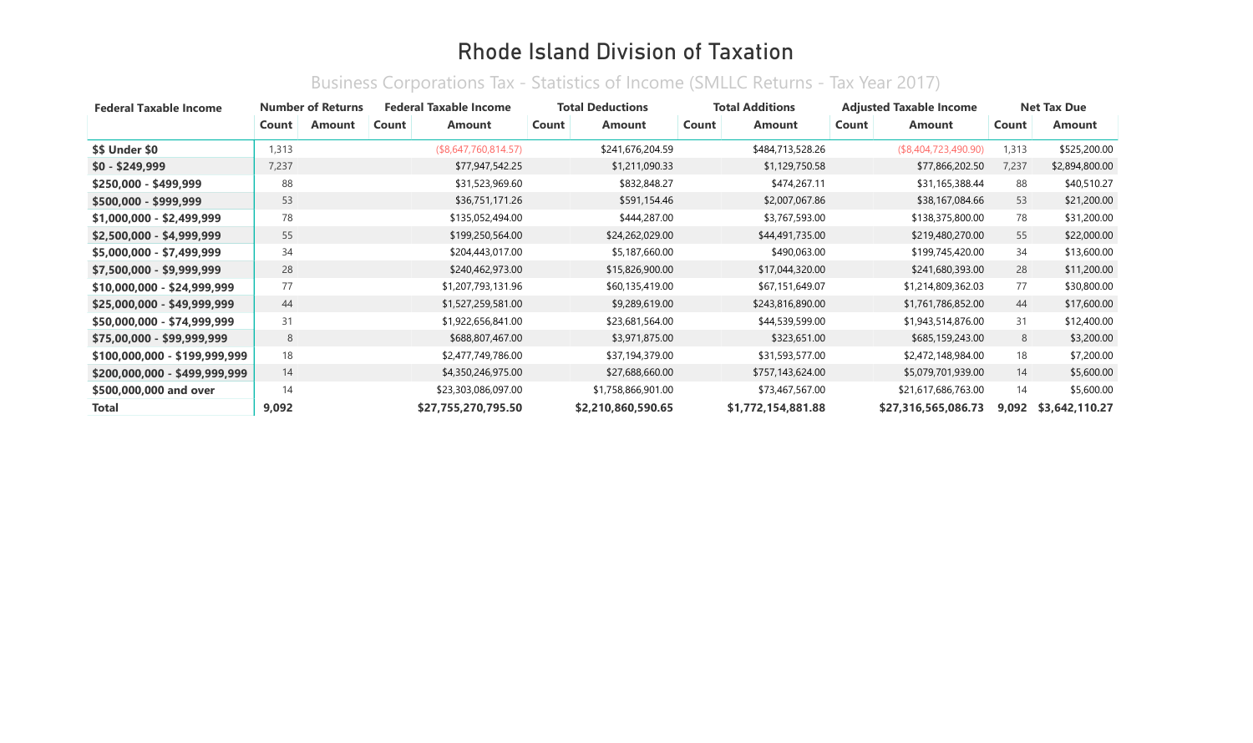| <b>Federal Taxable Income</b> |       | <b>Number of Returns</b> |       | <b>Federal Taxable Income</b> | <b>Total Deductions</b> |                    |       | <b>Total Additions</b> |       | <b>Adjusted Taxable Income</b> |       | <b>Net Tax Due</b> |
|-------------------------------|-------|--------------------------|-------|-------------------------------|-------------------------|--------------------|-------|------------------------|-------|--------------------------------|-------|--------------------|
|                               | Count | Amount                   | Count | Amount                        | Count                   | Amount             | Count | Amount                 | Count | <b>Amount</b>                  | Count | <b>Amount</b>      |
| \$\$ Under \$0                | 1,313 |                          |       | (\$8,647,760,814.57)          |                         | \$241,676,204.59   |       | \$484,713,528.26       |       | (\$8,404,723,490.90)           | 1,313 | \$525,200.00       |
| $$0 - $249,999$               | 7,237 |                          |       | \$77,947,542.25               |                         | \$1,211,090.33     |       | \$1,129,750.58         |       | \$77,866,202.50                | 7,237 | \$2,894,800.00     |
| $$250,000 - $499,999$         | 88    |                          |       | \$31,523,969.60               |                         | \$832,848.27       |       | \$474,267.11           |       | \$31,165,388.44                | 88    | \$40,510.27        |
| \$500,000 - \$999,999         | 53    |                          |       | \$36,751,171.26               |                         | \$591,154.46       |       | \$2,007,067.86         |       | \$38,167,084.66                | 53    | \$21,200.00        |
| $$1,000,000 - $2,499,999$     | 78    |                          |       | \$135,052,494.00              |                         | \$444,287.00       |       | \$3,767,593.00         |       | \$138,375,800.00               | 78    | \$31,200.00        |
| $$2,500,000 - $4,999,999$     | 55    |                          |       | \$199,250,564.00              |                         | \$24,262,029.00    |       | \$44,491,735.00        |       | \$219,480,270.00               | 55    | \$22,000.00        |
| $$5,000,000 - $7,499,999$     | 34    |                          |       | \$204,443,017.00              |                         | \$5,187,660.00     |       | \$490,063.00           |       | \$199,745,420.00               | 34    | \$13,600.00        |
| \$7,500,000 - \$9,999,999     | 28    |                          |       | \$240,462,973.00              |                         | \$15,826,900.00    |       | \$17,044,320.00        |       | \$241,680,393.00               | 28    | \$11,200.00        |
| $$10,000,000 - $24,999,999$   | 77    |                          |       | \$1,207,793,131.96            |                         | \$60,135,419.00    |       | \$67,151,649.07        |       | \$1,214,809,362.03             | 77    | \$30,800.00        |
| \$25,000,000 - \$49,999,999   | 44    |                          |       | \$1,527,259,581.00            |                         | \$9,289,619.00     |       | \$243,816,890.00       |       | \$1,761,786,852.00             | 44    | \$17,600.00        |
| \$50,000,000 - \$74,999,999   | 31    |                          |       | \$1,922,656,841.00            |                         | \$23,681,564.00    |       | \$44,539,599.00        |       | \$1,943,514,876.00             | 31    | \$12,400.00        |
| \$75,00,000 - \$99,999,999    | 8     |                          |       | \$688,807,467.00              |                         | \$3,971,875.00     |       | \$323,651.00           |       | \$685,159,243.00               | 8     | \$3,200.00         |
| \$100,000,000 - \$199,999,999 | 18    |                          |       | \$2,477,749,786.00            |                         | \$37,194,379.00    |       | \$31,593,577.00        |       | \$2,472,148,984.00             | 18    | \$7,200.00         |
| \$200,000,000 - \$499,999,999 | 14    |                          |       | \$4,350,246,975.00            |                         | \$27,688,660.00    |       | \$757,143,624.00       |       | \$5,079,701,939.00             | 14    | \$5,600.00         |
| \$500,000,000 and over        | 14    |                          |       | \$23,303,086,097.00           |                         | \$1,758,866,901.00 |       | \$73,467,567.00        |       | \$21,617,686,763.00            | 14    | \$5,600.00         |
| Total                         | 9,092 |                          |       | \$27,755,270,795.50           |                         | \$2,210,860,590.65 |       | \$1,772,154,881.88     |       | \$27,316,565,086.73            | 9,092 | \$3,642,110.27     |

#### Business Corporations Tax - Statistics of Income (SMLLC Returns - Tax Year 2017)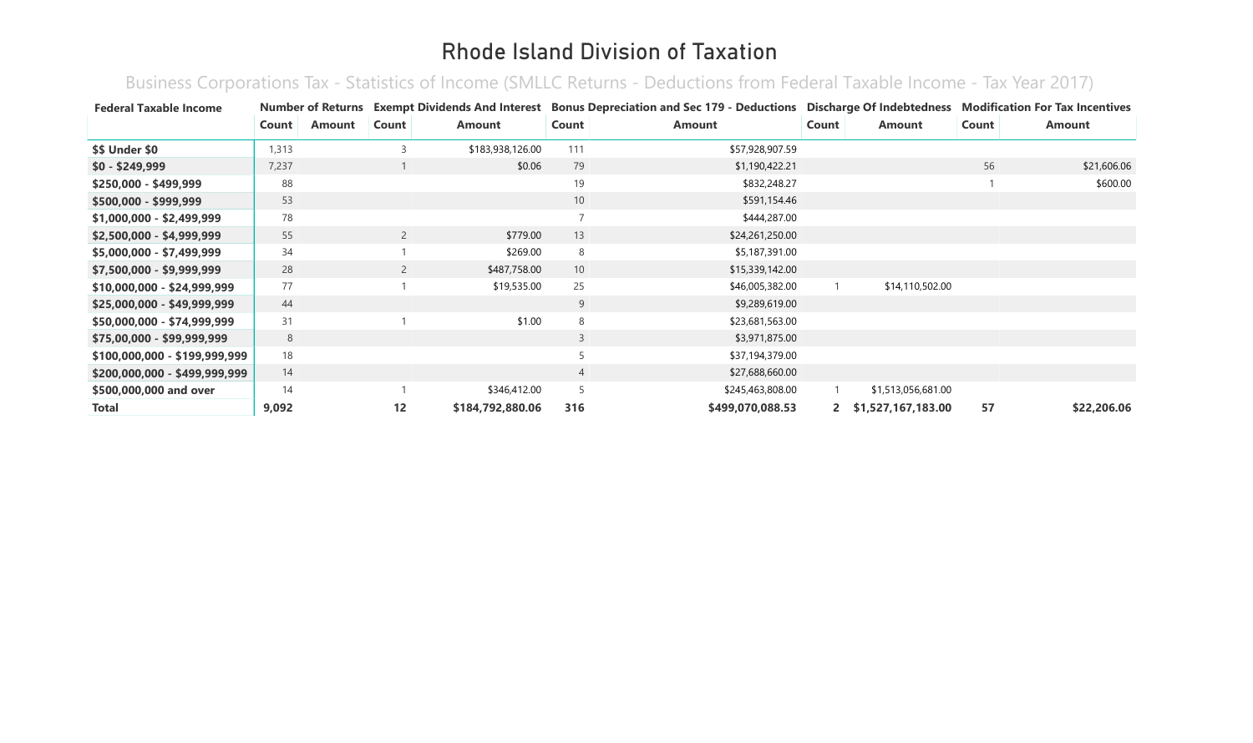Business Corporations Tax - Statistics of Income (SMLLC Returns - Deductions from Federal Taxable Income - Tax Year 2017)

| <b>Federal Taxable Income</b> |       |               |                | <b>Number of Returns Exempt Dividends And Interest</b> |                 | <b>Bonus Depreciation and Sec 179 - Deductions Discharge Of Indebtedness</b> |                |                    |       | <b>Modification For Tax Incentives</b> |
|-------------------------------|-------|---------------|----------------|--------------------------------------------------------|-----------------|------------------------------------------------------------------------------|----------------|--------------------|-------|----------------------------------------|
|                               | Count | <b>Amount</b> | Count          | Amount                                                 | Count           | <b>Amount</b>                                                                | Count          | <b>Amount</b>      | Count | Amount                                 |
| <b>\$\$ Under \$0</b>         | 1,313 |               | 3              | \$183,938,126.00                                       | 111             | \$57,928,907.59                                                              |                |                    |       |                                        |
| $$0 - $249,999$               | 7,237 |               |                | \$0.06                                                 | 79              | \$1,190,422.21                                                               |                |                    | 56    | \$21,606.06                            |
| \$250,000 - \$499,999         | 88    |               |                |                                                        | 19              | \$832,248.27                                                                 |                |                    |       | \$600.00                               |
| \$500,000 - \$999,999         | 53    |               |                |                                                        | 10              | \$591,154.46                                                                 |                |                    |       |                                        |
| \$1,000,000 - \$2,499,999     | 78    |               |                |                                                        |                 | \$444,287.00                                                                 |                |                    |       |                                        |
| \$2,500,000 - \$4,999,999     | 55    |               | $\overline{2}$ | \$779.00                                               | 13              | \$24,261,250.00                                                              |                |                    |       |                                        |
| \$5,000,000 - \$7,499,999     | 34    |               |                | \$269.00                                               | 8               | \$5,187,391.00                                                               |                |                    |       |                                        |
| $$7,500,000 - $9,999,999$     | 28    |               | $\overline{2}$ | \$487,758.00                                           | 10 <sup>°</sup> | \$15,339,142.00                                                              |                |                    |       |                                        |
| $$10,000,000 - $24,999,999$   | 77    |               |                | \$19,535.00                                            | 25              | \$46,005,382.00                                                              |                | \$14,110,502.00    |       |                                        |
| $$25,000,000 - $49,999,999$   | 44    |               |                |                                                        | 9               | \$9,289,619.00                                                               |                |                    |       |                                        |
| \$50,000,000 - \$74,999,999   | 31    |               |                | \$1.00                                                 | 8               | \$23,681,563.00                                                              |                |                    |       |                                        |
| \$75,00,000 - \$99,999,999    | 8     |               |                |                                                        | 3               | \$3,971,875.00                                                               |                |                    |       |                                        |
| \$100,000,000 - \$199,999,999 | 18    |               |                |                                                        |                 | \$37,194,379.00                                                              |                |                    |       |                                        |
| \$200,000,000 - \$499,999,999 | 14    |               |                |                                                        | $\overline{4}$  | \$27,688,660.00                                                              |                |                    |       |                                        |
| \$500,000,000 and over        | 14    |               |                | \$346,412.00                                           |                 | \$245,463,808.00                                                             |                | \$1,513,056,681.00 |       |                                        |
| <b>Total</b>                  | 9,092 |               | 12             | \$184,792,880.06                                       | 316             | \$499,070,088.53                                                             | $\mathbf{2}^-$ | \$1,527,167,183.00 | 57    | \$22,206.06                            |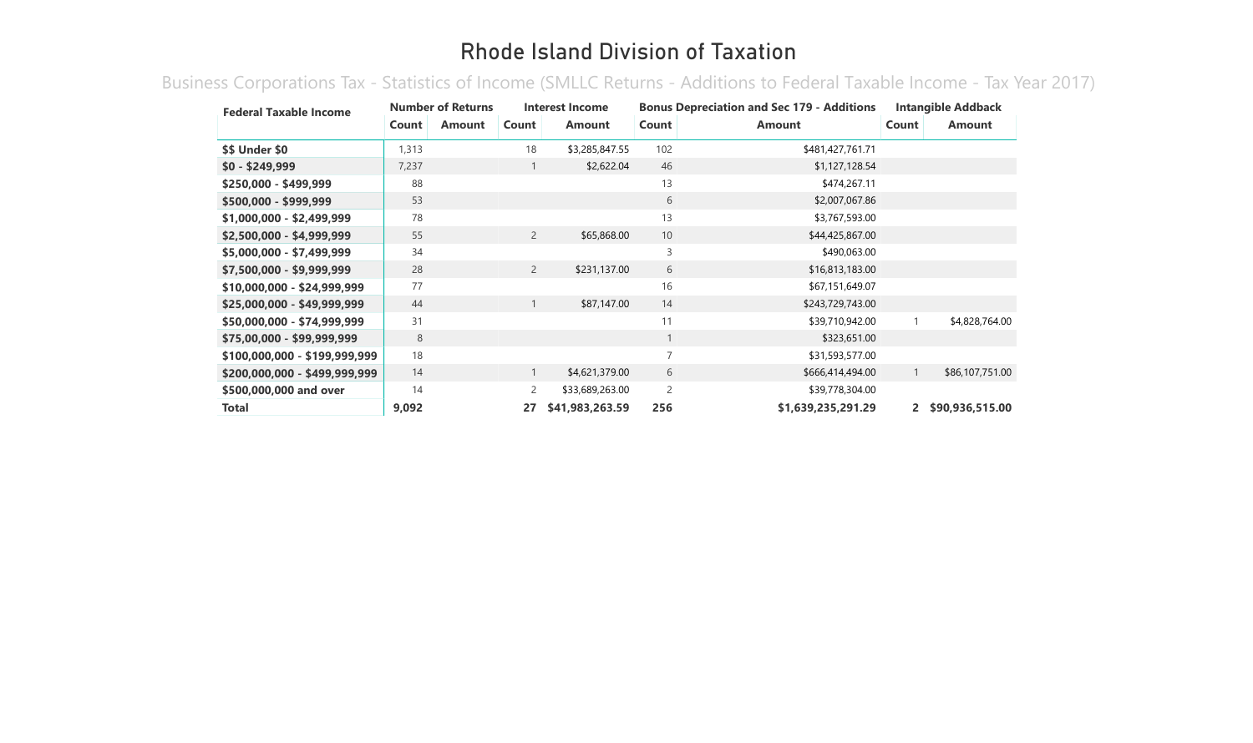Business Corporations Tax - Statistics of Income (SMLLC Returns - Additions to Federal Taxable Income - Tax Year 2017)

| <b>Federal Taxable Income</b> |       | <b>Number of Returns</b> |                | Interest Income |                | <b>Bonus Depreciation and Sec 179 - Additions</b> |             | <b>Intangible Addback</b> |
|-------------------------------|-------|--------------------------|----------------|-----------------|----------------|---------------------------------------------------|-------------|---------------------------|
|                               | Count | <b>Amount</b>            | Count          | <b>Amount</b>   | Count          | <b>Amount</b>                                     | Count       | <b>Amount</b>             |
| <b>\$\$ Under \$0</b>         | 1,313 |                          | 18             | \$3,285,847.55  | 102            | \$481,427,761.71                                  |             |                           |
| $$0 - $249,999$               | 7,237 |                          |                | \$2,622.04      | 46             | \$1,127,128.54                                    |             |                           |
| \$250,000 - \$499,999         | 88    |                          |                |                 | 13             | \$474,267.11                                      |             |                           |
| \$500,000 - \$999,999         | 53    |                          |                |                 | 6              | \$2,007,067.86                                    |             |                           |
| \$1,000,000 - \$2,499,999     | 78    |                          |                |                 | 13             | \$3,767,593.00                                    |             |                           |
| \$2,500,000 - \$4,999,999     | 55    |                          | $\overline{2}$ | \$65,868.00     | 10             | \$44,425,867.00                                   |             |                           |
| \$5,000,000 - \$7,499,999     | 34    |                          |                |                 | 3              | \$490,063.00                                      |             |                           |
| \$7,500,000 - \$9,999,999     | 28    |                          | $\overline{2}$ | \$231,137.00    | 6              | \$16,813,183.00                                   |             |                           |
| \$10,000,000 - \$24,999,999   | 77    |                          |                |                 | 16             | \$67,151,649.07                                   |             |                           |
| \$25,000,000 - \$49,999,999   | 44    |                          | $\mathbf{1}$   | \$87,147.00     | 14             | \$243,729,743.00                                  |             |                           |
| \$50,000,000 - \$74,999,999   | 31    |                          |                |                 | 11             | \$39,710,942.00                                   |             | \$4,828,764.00            |
| \$75,00,000 - \$99,999,999    | 8     |                          |                |                 | $\mathbf{1}$   | \$323,651.00                                      |             |                           |
| \$100,000,000 - \$199,999,999 | 18    |                          |                |                 | $\overline{7}$ | \$31,593,577.00                                   |             |                           |
| \$200,000,000 - \$499,999,999 | 14    |                          |                | \$4,621,379.00  | 6              | \$666,414,494.00                                  |             | \$86,107,751.00           |
| \$500,000,000 and over        | 14    |                          | 2              | \$33,689,263.00 | 2              | \$39,778,304.00                                   |             |                           |
| Total                         | 9,092 |                          | 27             | \$41,983,263.59 | 256            | \$1,639,235,291.29                                | $2^{\circ}$ | \$90,936,515.00           |